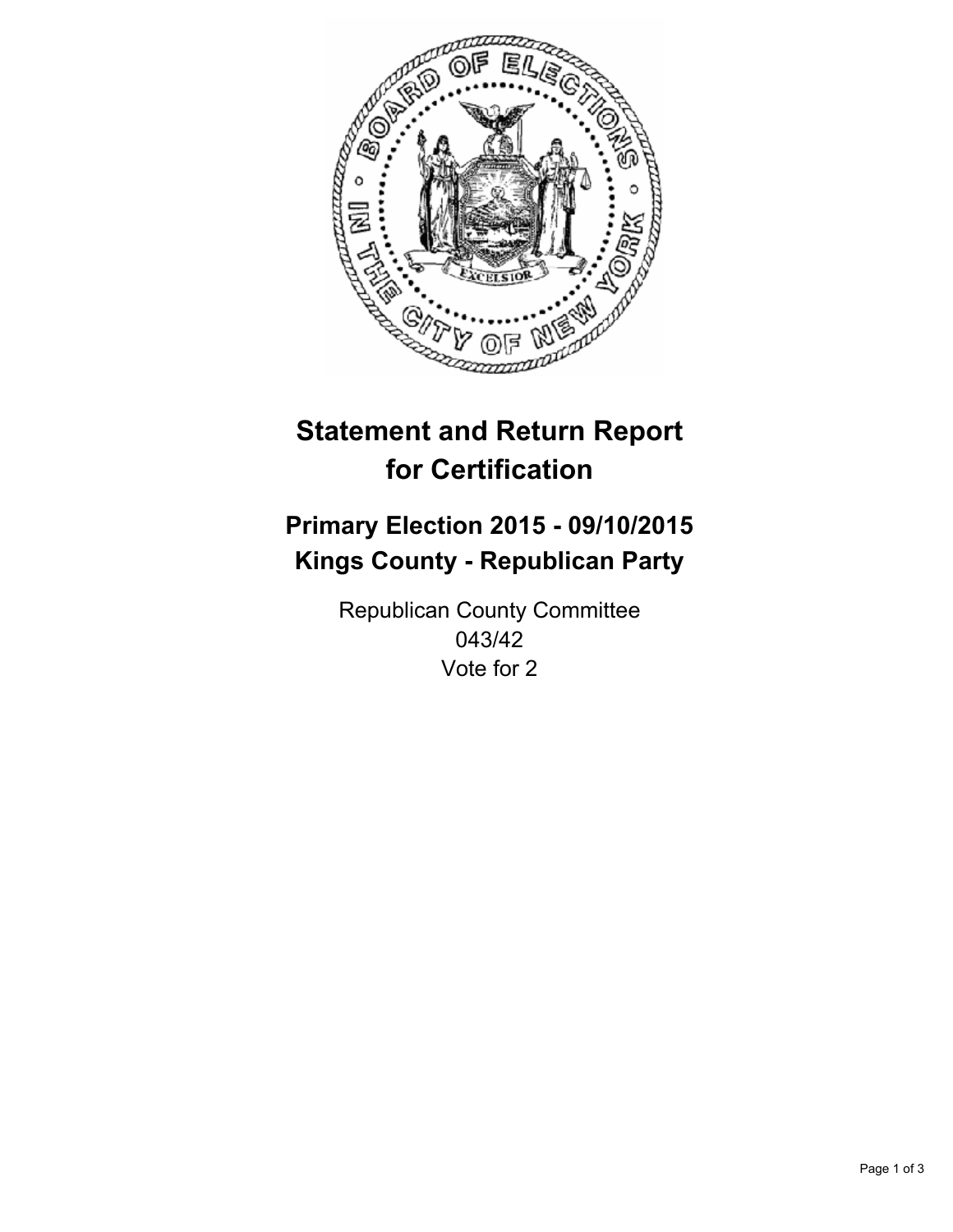

# **Statement and Return Report for Certification**

## **Primary Election 2015 - 09/10/2015 Kings County - Republican Party**

Republican County Committee 043/42 Vote for 2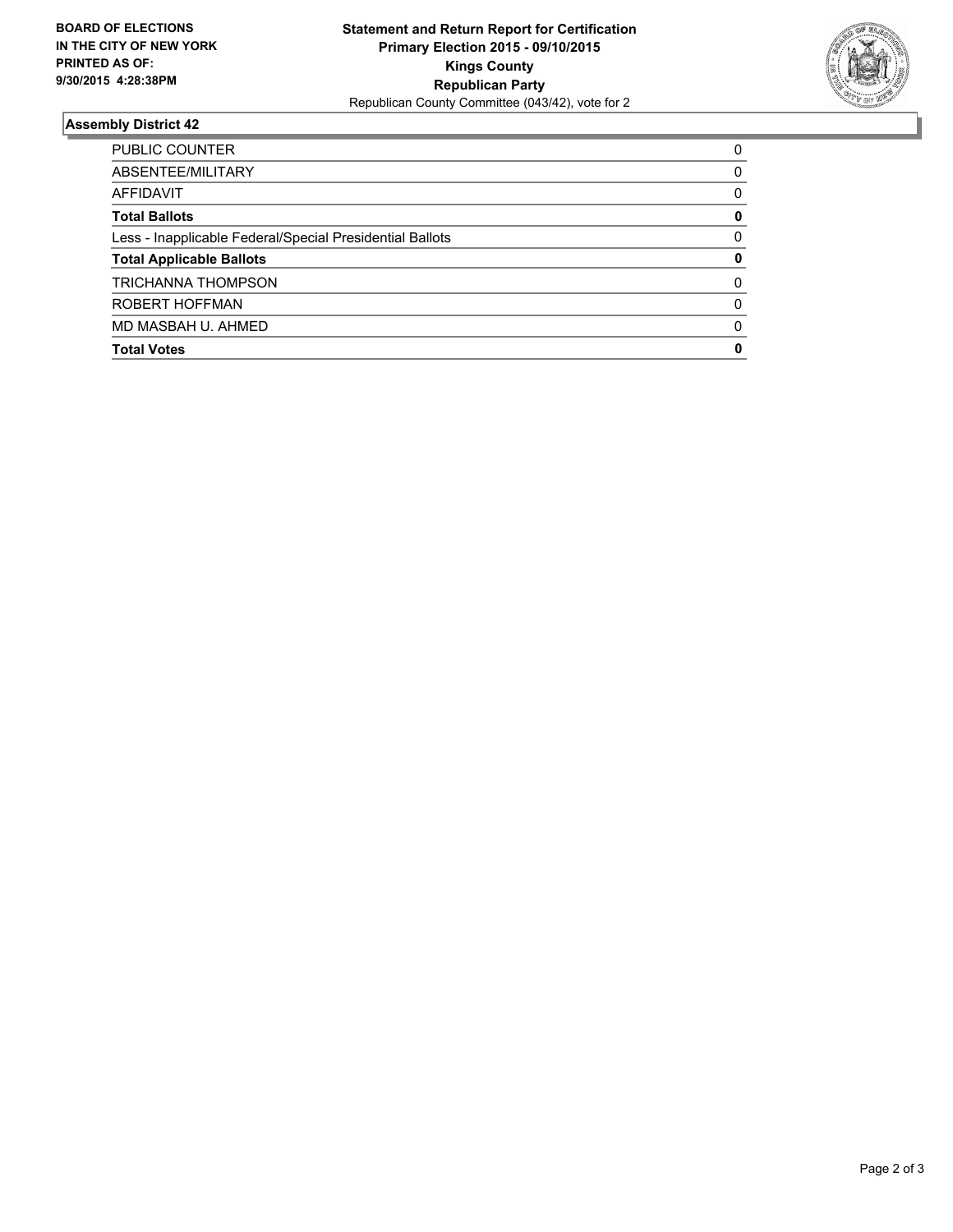

#### **Assembly District 42**

| PUBLIC COUNTER                                           | 0        |
|----------------------------------------------------------|----------|
| ABSENTEE/MILITARY                                        | 0        |
| AFFIDAVIT                                                | 0        |
| <b>Total Ballots</b>                                     | 0        |
| Less - Inapplicable Federal/Special Presidential Ballots | 0        |
| <b>Total Applicable Ballots</b>                          | 0        |
| <b>TRICHANNA THOMPSON</b>                                | 0        |
| ROBERT HOFFMAN                                           | $\Omega$ |
| MD MASBAH U. AHMED                                       | $\Omega$ |
| <b>Total Votes</b>                                       | 0        |